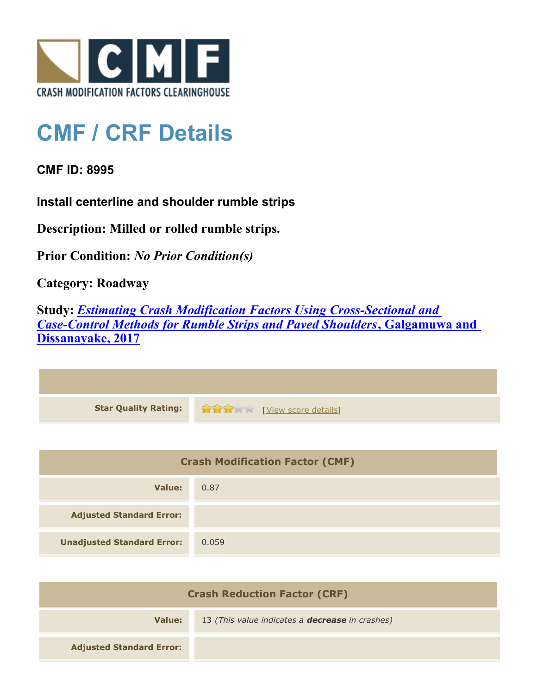

## **CMF / CRF Details**

**CMF ID: 8995**

**Install centerline and shoulder rumble strips**

**Description: Milled or rolled rumble strips.**

**Prior Condition:** *No Prior Condition(s)*

**Category: Roadway**

**Study:** *[Estimating Crash Modification Factors Using Cross-Sectional and](http://www.cmfclearinghouse.org/study_detail.cfm?stid=480) [Case-Control Methods for Rumble Strips and Paved Shoulders](http://www.cmfclearinghouse.org/study_detail.cfm?stid=480)***[, Galgamuwa and](http://www.cmfclearinghouse.org/study_detail.cfm?stid=480) [Dissanayake, 2017](http://www.cmfclearinghouse.org/study_detail.cfm?stid=480)**

| Star Quality Rating: 1999 [View score details] |
|------------------------------------------------|

| <b>Crash Modification Factor (CMF)</b> |       |
|----------------------------------------|-------|
| Value:                                 | 0.87  |
| <b>Adjusted Standard Error:</b>        |       |
| <b>Unadjusted Standard Error:</b>      | 0.059 |

| <b>Crash Reduction Factor (CRF)</b> |                                                        |
|-------------------------------------|--------------------------------------------------------|
| Value:                              | 13 (This value indicates a <b>decrease</b> in crashes) |
| <b>Adjusted Standard Error:</b>     |                                                        |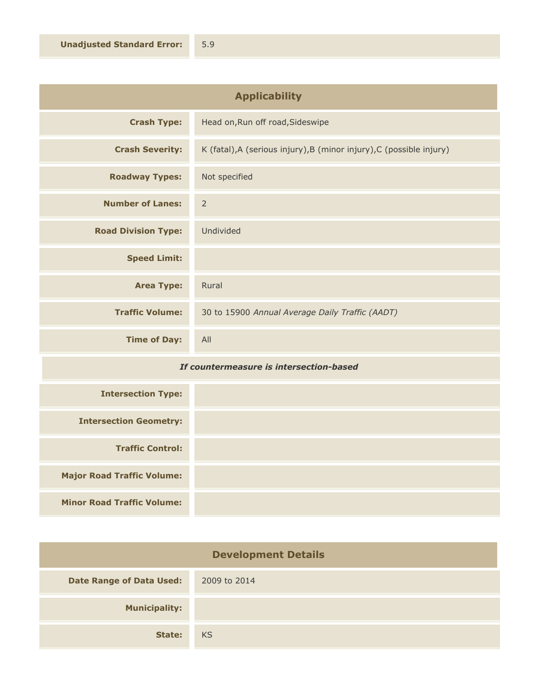| <b>Applicability</b>       |                                                                      |
|----------------------------|----------------------------------------------------------------------|
| <b>Crash Type:</b>         | Head on, Run off road, Sideswipe                                     |
| <b>Crash Severity:</b>     | K (fatal), A (serious injury), B (minor injury), C (possible injury) |
| <b>Roadway Types:</b>      | Not specified                                                        |
| <b>Number of Lanes:</b>    | $\overline{2}$                                                       |
| <b>Road Division Type:</b> | Undivided                                                            |
| <b>Speed Limit:</b>        |                                                                      |
| <b>Area Type:</b>          | Rural                                                                |
| <b>Traffic Volume:</b>     | 30 to 15900 Annual Average Daily Traffic (AADT)                      |
| <b>Time of Day:</b>        | All                                                                  |

## *If countermeasure is intersection-based*

| <b>Intersection Type:</b>         |  |
|-----------------------------------|--|
| <b>Intersection Geometry:</b>     |  |
| <b>Traffic Control:</b>           |  |
| <b>Major Road Traffic Volume:</b> |  |
| <b>Minor Road Traffic Volume:</b> |  |

| <b>Development Details</b>      |              |
|---------------------------------|--------------|
| <b>Date Range of Data Used:</b> | 2009 to 2014 |
| <b>Municipality:</b>            |              |
| State:                          | <b>KS</b>    |